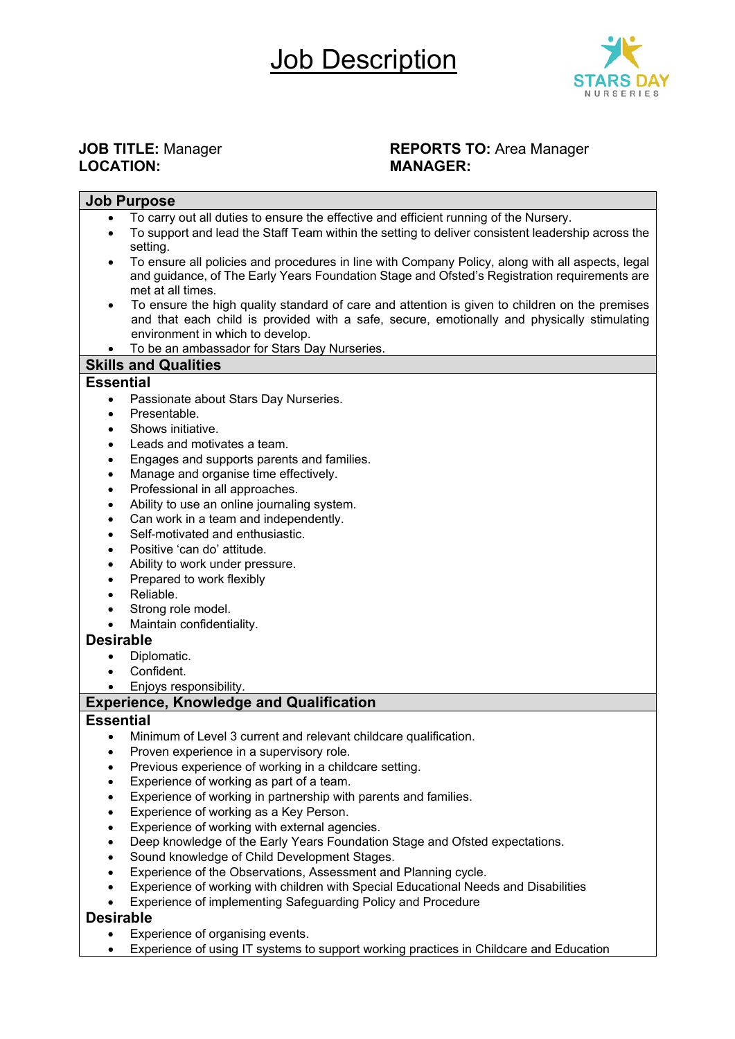

# LOCATION:

# **JOB TITLE:** Manager **REPORTS TO:** Area Manager<br> **REPORTS TO:** Area Manager<br> **MANAGER:**

| <b>Job Purpose</b>                                                                                             |  |  |  |  |  |
|----------------------------------------------------------------------------------------------------------------|--|--|--|--|--|
| To carry out all duties to ensure the effective and efficient running of the Nursery.<br>$\bullet$             |  |  |  |  |  |
| To support and lead the Staff Team within the setting to deliver consistent leadership across the<br>$\bullet$ |  |  |  |  |  |
| setting.                                                                                                       |  |  |  |  |  |
| To ensure all policies and procedures in line with Company Policy, along with all aspects, legal               |  |  |  |  |  |
| and guidance, of The Early Years Foundation Stage and Ofsted's Registration requirements are                   |  |  |  |  |  |
| met at all times.                                                                                              |  |  |  |  |  |
| To ensure the high quality standard of care and attention is given to children on the premises                 |  |  |  |  |  |
| and that each child is provided with a safe, secure, emotionally and physically stimulating                    |  |  |  |  |  |
| environment in which to develop.                                                                               |  |  |  |  |  |
| To be an ambassador for Stars Day Nurseries.                                                                   |  |  |  |  |  |
| <b>Skills and Qualities</b>                                                                                    |  |  |  |  |  |
| <b>Essential</b>                                                                                               |  |  |  |  |  |
| Passionate about Stars Day Nurseries.<br>$\bullet$                                                             |  |  |  |  |  |
| Presentable.<br>$\bullet$                                                                                      |  |  |  |  |  |
| Shows initiative.<br>$\bullet$                                                                                 |  |  |  |  |  |
| Leads and motivates a team.<br>$\bullet$                                                                       |  |  |  |  |  |
| Engages and supports parents and families.<br>$\bullet$<br>$\bullet$                                           |  |  |  |  |  |
| Manage and organise time effectively.                                                                          |  |  |  |  |  |
| Professional in all approaches.<br>$\bullet$                                                                   |  |  |  |  |  |
| Ability to use an online journaling system.<br>$\bullet$<br>Can work in a team and independently.              |  |  |  |  |  |
| $\bullet$<br>Self-motivated and enthusiastic.<br>$\bullet$                                                     |  |  |  |  |  |
| Positive 'can do' attitude.<br>$\bullet$                                                                       |  |  |  |  |  |
| Ability to work under pressure.<br>$\bullet$                                                                   |  |  |  |  |  |
| Prepared to work flexibly<br>$\bullet$                                                                         |  |  |  |  |  |
| Reliable.                                                                                                      |  |  |  |  |  |
| Strong role model.<br>$\bullet$                                                                                |  |  |  |  |  |
| Maintain confidentiality.<br>$\bullet$                                                                         |  |  |  |  |  |
| <b>Desirable</b>                                                                                               |  |  |  |  |  |
| Diplomatic.                                                                                                    |  |  |  |  |  |
| Confident.<br>$\bullet$                                                                                        |  |  |  |  |  |
| Enjoys responsibility.<br>$\bullet$                                                                            |  |  |  |  |  |
| <b>Experience, Knowledge and Qualification</b>                                                                 |  |  |  |  |  |
| <b>Essential</b>                                                                                               |  |  |  |  |  |
| Minimum of Level 3 current and relevant childcare qualification.<br>$\bullet$                                  |  |  |  |  |  |
| Proven experience in a supervisory role.<br>٠                                                                  |  |  |  |  |  |
| Previous experience of working in a childcare setting.                                                         |  |  |  |  |  |
| Experience of working as part of a team.<br>$\bullet$                                                          |  |  |  |  |  |
| Experience of working in partnership with parents and families.<br>$\bullet$                                   |  |  |  |  |  |
| Experience of working as a Key Person.<br>$\bullet$                                                            |  |  |  |  |  |
| Experience of working with external agencies.<br>$\bullet$                                                     |  |  |  |  |  |
| Deep knowledge of the Early Years Foundation Stage and Ofsted expectations.<br>$\bullet$                       |  |  |  |  |  |
| Sound knowledge of Child Development Stages.<br>$\bullet$                                                      |  |  |  |  |  |
| Experience of the Observations, Assessment and Planning cycle.<br>$\bullet$                                    |  |  |  |  |  |
| Experience of working with children with Special Educational Needs and Disabilities<br>$\bullet$               |  |  |  |  |  |
| Experience of implementing Safeguarding Policy and Procedure<br>$\bullet$                                      |  |  |  |  |  |
| <b>Desirable</b>                                                                                               |  |  |  |  |  |

- Experience of organising events.
- Experience of using IT systems to support working practices in Childcare and Education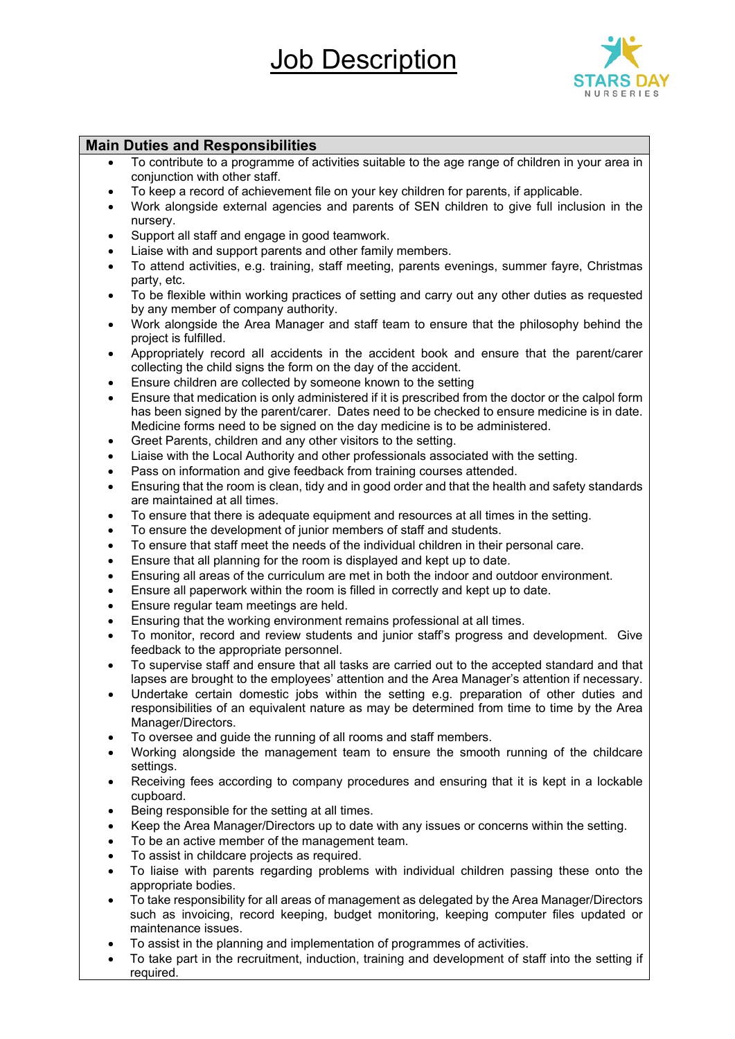## Job Description



### **Main Duties and Responsibilities**

- To contribute to a programme of activities suitable to the age range of children in your area in conjunction with other staff.
- To keep a record of achievement file on your key children for parents, if applicable.
- Work alongside external agencies and parents of SEN children to give full inclusion in the nursery.
- Support all staff and engage in good teamwork.
- Liaise with and support parents and other family members.
- To attend activities, e.g. training, staff meeting, parents evenings, summer fayre, Christmas party, etc.
- To be flexible within working practices of setting and carry out any other duties as requested by any member of company authority.
- Work alongside the Area Manager and staff team to ensure that the philosophy behind the project is fulfilled.
- Appropriately record all accidents in the accident book and ensure that the parent/carer collecting the child signs the form on the day of the accident.
- Ensure children are collected by someone known to the setting
- Ensure that medication is only administered if it is prescribed from the doctor or the calpol form has been signed by the parent/carer. Dates need to be checked to ensure medicine is in date. Medicine forms need to be signed on the day medicine is to be administered.
- Greet Parents, children and any other visitors to the setting.
- Liaise with the Local Authority and other professionals associated with the setting.
- Pass on information and give feedback from training courses attended.
- Ensuring that the room is clean, tidy and in good order and that the health and safety standards are maintained at all times.
- To ensure that there is adequate equipment and resources at all times in the setting.
- To ensure the development of junior members of staff and students.
- To ensure that staff meet the needs of the individual children in their personal care.
- Ensure that all planning for the room is displayed and kept up to date.
- Ensuring all areas of the curriculum are met in both the indoor and outdoor environment.
- Ensure all paperwork within the room is filled in correctly and kept up to date.
- Ensure regular team meetings are held.
- Ensuring that the working environment remains professional at all times.
- To monitor, record and review students and junior staff's progress and development. Give feedback to the appropriate personnel.
- To supervise staff and ensure that all tasks are carried out to the accepted standard and that lapses are brought to the employees' attention and the Area Manager's attention if necessary.
- Undertake certain domestic jobs within the setting e.g. preparation of other duties and responsibilities of an equivalent nature as may be determined from time to time by the Area Manager/Directors.
- To oversee and guide the running of all rooms and staff members.
- Working alongside the management team to ensure the smooth running of the childcare settings.
- Receiving fees according to company procedures and ensuring that it is kept in a lockable cupboard.
- Being responsible for the setting at all times.
- Keep the Area Manager/Directors up to date with any issues or concerns within the setting.
- To be an active member of the management team.
- To assist in childcare projects as required.
- To liaise with parents regarding problems with individual children passing these onto the appropriate bodies.
- To take responsibility for all areas of management as delegated by the Area Manager/Directors such as invoicing, record keeping, budget monitoring, keeping computer files updated or maintenance issues.
- To assist in the planning and implementation of programmes of activities.
- To take part in the recruitment, induction, training and development of staff into the setting if required.